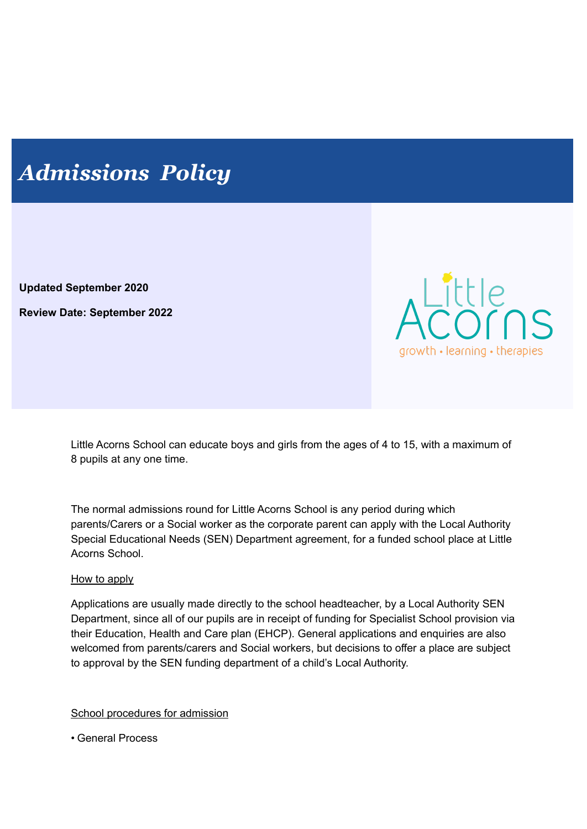# *Admissions Policy*

**Updated September 2020**

**Review Date: September 2022**



Little Acorns School can educate boys and girls from the ages of 4 to 15, with a maximum of 8 pupils at any one time.

The normal admissions round for Little Acorns School is any period during which parents/Carers or a Social worker as the corporate parent can apply with the Local Authority Special Educational Needs (SEN) Department agreement, for a funded school place at Little Acorns School.

### How to apply

Applications are usually made directly to the school headteacher, by a Local Authority SEN Department, since all of our pupils are in receipt of funding for Specialist School provision via their Education, Health and Care plan (EHCP). General applications and enquiries are also welcomed from parents/carers and Social workers, but decisions to offer a place are subject to approval by the SEN funding department of a child's Local Authority.

School procedures for admission

• General Process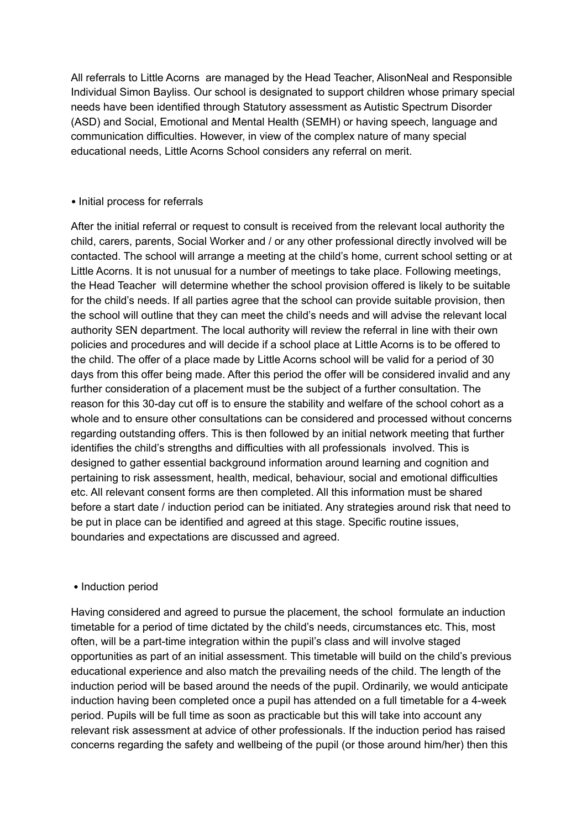All referrals to Little Acorns are managed by the Head Teacher, AlisonNeal and Responsible Individual Simon Bayliss. Our school is designated to support children whose primary special needs have been identified through Statutory assessment as Autistic Spectrum Disorder (ASD) and Social, Emotional and Mental Health (SEMH) or having speech, language and communication difficulties. However, in view of the complex nature of many special educational needs, Little Acorns School considers any referral on merit.

#### • Initial process for referrals

After the initial referral or request to consult is received from the relevant local authority the child, carers, parents, Social Worker and / or any other professional directly involved will be contacted. The school will arrange a meeting at the child's home, current school setting or at Little Acorns. It is not unusual for a number of meetings to take place. Following meetings, the Head Teacher will determine whether the school provision offered is likely to be suitable for the child's needs. If all parties agree that the school can provide suitable provision, then the school will outline that they can meet the child's needs and will advise the relevant local authority SEN department. The local authority will review the referral in line with their own policies and procedures and will decide if a school place at Little Acorns is to be offered to the child. The offer of a place made by Little Acorns school will be valid for a period of 30 days from this offer being made. After this period the offer will be considered invalid and any further consideration of a placement must be the subject of a further consultation. The reason for this 30-day cut off is to ensure the stability and welfare of the school cohort as a whole and to ensure other consultations can be considered and processed without concerns regarding outstanding offers. This is then followed by an initial network meeting that further identifies the child's strengths and difficulties with all professionals involved. This is designed to gather essential background information around learning and cognition and pertaining to risk assessment, health, medical, behaviour, social and emotional difficulties etc. All relevant consent forms are then completed. All this information must be shared before a start date / induction period can be initiated. Any strategies around risk that need to be put in place can be identified and agreed at this stage. Specific routine issues, boundaries and expectations are discussed and agreed.

#### • Induction period

Having considered and agreed to pursue the placement, the school formulate an induction timetable for a period of time dictated by the child's needs, circumstances etc. This, most often, will be a part-time integration within the pupil's class and will involve staged opportunities as part of an initial assessment. This timetable will build on the child's previous educational experience and also match the prevailing needs of the child. The length of the induction period will be based around the needs of the pupil. Ordinarily, we would anticipate induction having been completed once a pupil has attended on a full timetable for a 4-week period. Pupils will be full time as soon as practicable but this will take into account any relevant risk assessment at advice of other professionals. If the induction period has raised concerns regarding the safety and wellbeing of the pupil (or those around him/her) then this